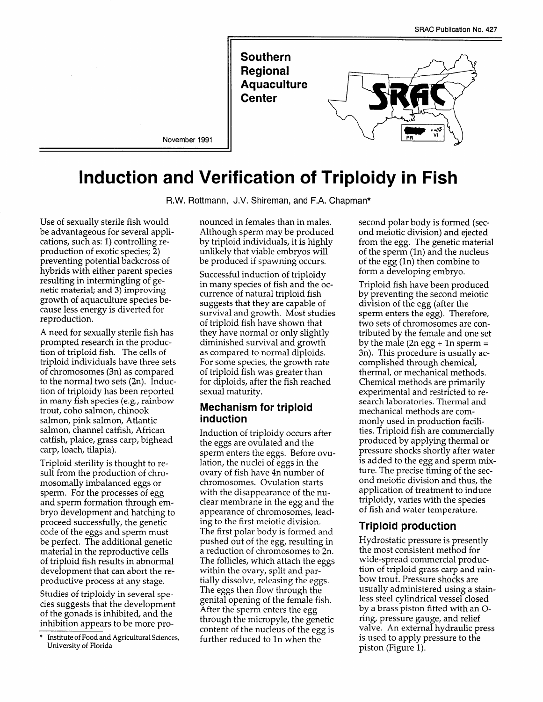

# **Induction and Verification of Triploidy in Fish**

R.W. Rottmann, J.V. Shireman, and F.A. Chapman\*

Use of sexually sterile fish would be advantageous for several applications, such as: 1) controlling reproduction of exotic species; 2) preventing potential backcross of hybrids with either parent species resulting in intermingling of genetic material; and 3) improving growth of aquaculture species because less energy is diverted for reproduction,

A need for sexually sterile fish has prompted research in the production of triploid fish. The cells of triploid individuals have three sets of chromosomes (3n) as compared to the normal two sets (2n). Induction of triploidy has been reported in many fish species (e.g., rainbow trout, coho salmon, chinook salmon, pink salmon, Atlantic salmon, channel catfish, African catfish, plaice, grass carp, bighead carp, loach, tilapia).

Triploid sterility is thought to result from the production of chromosomally imbalanced eggs or sperm. For the processes of egg and sperm formation through embryo development and hatching to proceed successfully, the genetic code of the eggs and sperm must be perfect, The additional genetic material in the reproductive cells of triploid fish results in abnormal development that can abort the reproductive process at any stage.

Studies of triploidy in several species suggests that the development of the gonads is inhibited, and the inhibition appears to be more pronounced in females than in males. Although sperm maybe produced by triploid individuals, it is highly unlikely that viable embryos will be produced if spawning occurs.

Successful induction of triploidy in many species of fish and the occurrence of natural triploid fish suggests that they are capable of survival and growth. Most studies of triploid fish have shown that they have normal or only slightly diminished survival and growth as compared to normal diploids. For some species, the growth rate of triploid fish was greater than for diploids, after the fish reached sexual maturity.

#### **Mechanism for triploid induction**

Induction of triploidy occurs after the eggs are ovulated and the sperm enters the eggs. Before ovulation, the nuclei of eggs in the ovary of fish have 4n number of chromosomes. Ovulation starts with the disappearance of the nuclear membrane in the egg and the appearance of chromosomes, leading to the first meiotic division. The first polar body is formed and pushed out of the egg, resulting in a reduction of chromosomes to 2n. The follicles, which attach the eggs within the ovary, split and partially dissolve, releasing the eggs. The eggs then flow through the genital opening of the female fish. After the sperm enters the egg through the micropyle, the genetic content of the nucleus of the egg is further reduced to In when the

second polar body is formed (second meiotic division) and ejected from the egg. The genetic material of the sperm (1n) and the nucleus of the egg (In) then combine to form a developing embryo.

Triploid fish have been produced by preventing the second meiotic division of the egg (after the sperm enters the egg). Therefore, two sets of chromosomes are contributed by the female and one set by the male (2n egg + 1n sperm  $=$ 3n). This procedure is usually accomplished through chemical, thermal, or mechanical methods. Chemical methods are primarily experimental and restricted to research laboratories. Thermal and mechanical methods are commonly used in production facilities. Triploid fish are commercially produced by applying thermal or pressure shocks shortly after water is added to the egg and sperm mixture. The precise timing of the second meiotic division and thus, the application of treatment to induce triploidy, varies with the species of fish and water temperature.

### **Triploid production**

Hydrostatic pressure is presently the most consistent method for wide-spread commercial production of triploid grass carp and rainbow trout. Pressure shocks are usually administered using a stainless steel cylindrical vessel closed by a brass piston fitted with an Oring, pressure gauge, and relief valve. An external hydraulic press is used to apply pressure to the piston (Figure 1).

Institute of Food and Agricultural Sciences, University of Florida